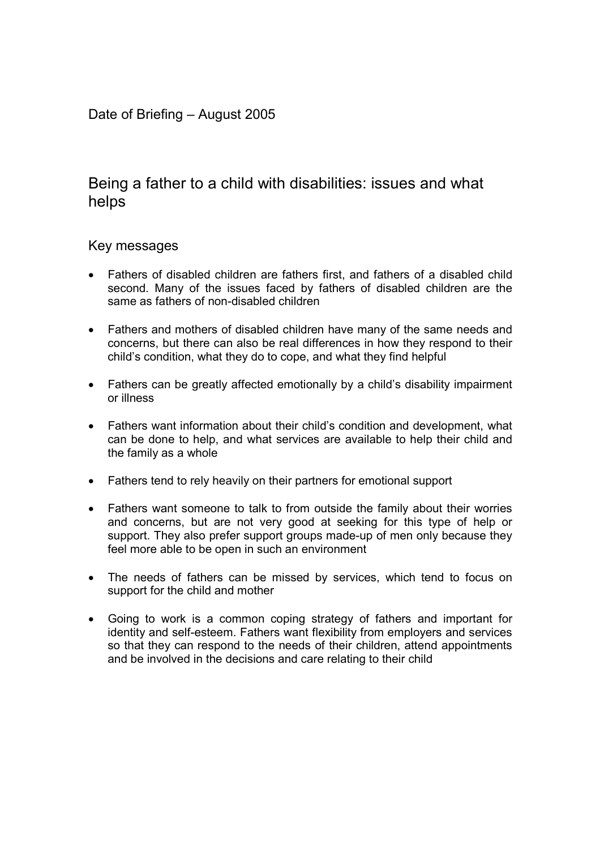## Date of Briefing – August 2005

# Being a father to a child with disabilities: issues and what helps

## Key messages

- Fathers of disabled children are fathers first, and fathers of a disabled child second. Many of the issues faced by fathers of disabled children are the same as fathers of non-disabled children
- Fathers and mothers of disabled children have many of the same needs and concerns, but there can also be real differences in how they respond to their child's condition, what they do to cope, and what they find helpful
- Fathers can be greatly affected emotionally by a child's disability impairment or illness
- Fathers want information about their child's condition and development, what can be done to help, and what services are available to help their child and the family as a whole
- Fathers tend to rely heavily on their partners for emotional support
- Fathers want someone to talk to from outside the family about their worries and concerns, but are not very good at seeking for this type of help or support. They also prefer support groups made-up of men only because they feel more able to be open in such an environment
- The needs of fathers can be missed by services, which tend to focus on support for the child and mother
- Going to work is a common coping strategy of fathers and important for identity and self-esteem. Fathers want flexibility from employers and services so that they can respond to the needs of their children, attend appointments and be involved in the decisions and care relating to their child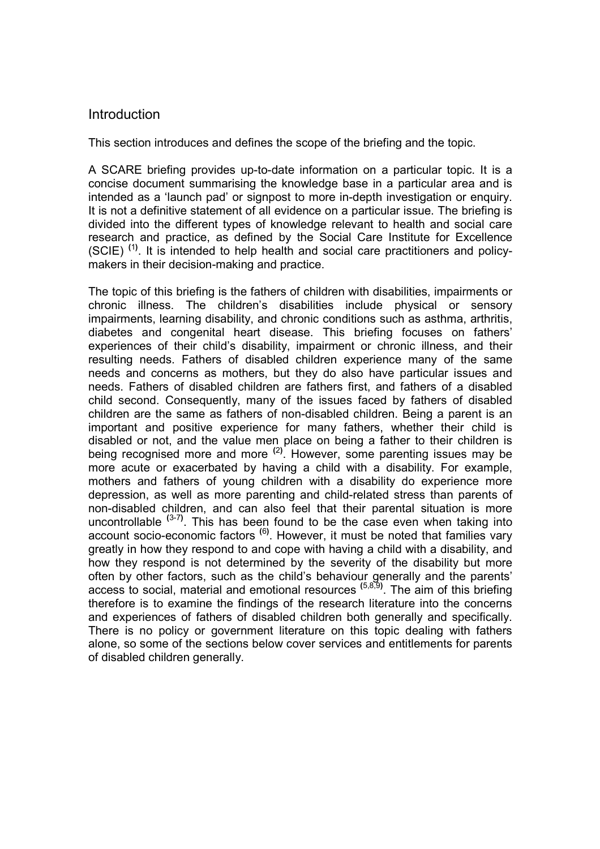## Introduction

This section introduces and defines the scope of the briefing and the topic.

A SCARE briefing provides up-to-date information on a particular topic. It is a concise document summarising the knowledge base in a particular area and is intended as a 'launch pad' or signpost to more in-depth investigation or enquiry. It is not a definitive statement of all evidence on a particular issue. The briefing is divided into the different types of knowledge relevant to health and social care research and practice, as defined by the Social Care Institute for Excellence  $(SCIE)$ <sup>(1)</sup>. It is intended to help health and social care practitioners and policymakers in their decision-making and practice.

The topic of this briefing is the fathers of children with disabilities, impairments or chronic illness. The children's disabilities include physical or sensory impairments, learning disability, and chronic conditions such as asthma, arthritis, diabetes and congenital heart disease. This briefing focuses on fathers' experiences of their child's disability, impairment or chronic illness, and their resulting needs. Fathers of disabled children experience many of the same needs and concerns as mothers, but they do also have particular issues and needs. Fathers of disabled children are fathers first, and fathers of a disabled child second. Consequently, many of the issues faced by fathers of disabled children are the same as fathers of non-disabled children. Being a parent is an important and positive experience for many fathers, whether their child is disabled or not, and the value men place on being a father to their children is being recognised more and more <sup>(2)</sup>. However, some parenting issues may be more acute or exacerbated by having a child with a disability. For example, mothers and fathers of young children with a disability do experience more depression, as well as more parenting and child-related stress than parents of non-disabled children, and can also feel that their parental situation is more uncontrollable  $(3-7)$ . This has been found to be the case even when taking into account socio-economic factors <sup>(6)</sup>. However, it must be noted that families vary greatly in how they respond to and cope with having a child with a disability, and how they respond is not determined by the severity of the disability but more often by other factors, such as the child's behaviour generally and the parents' access to social, material and emotional resources <sup>(5,8,9)</sup>. The aim of this briefing therefore is to examine the findings of the research literature into the concerns and experiences of fathers of disabled children both generally and specifically. There is no policy or government literature on this topic dealing with fathers alone, so some of the sections below cover services and entitlements for parents of disabled children generally.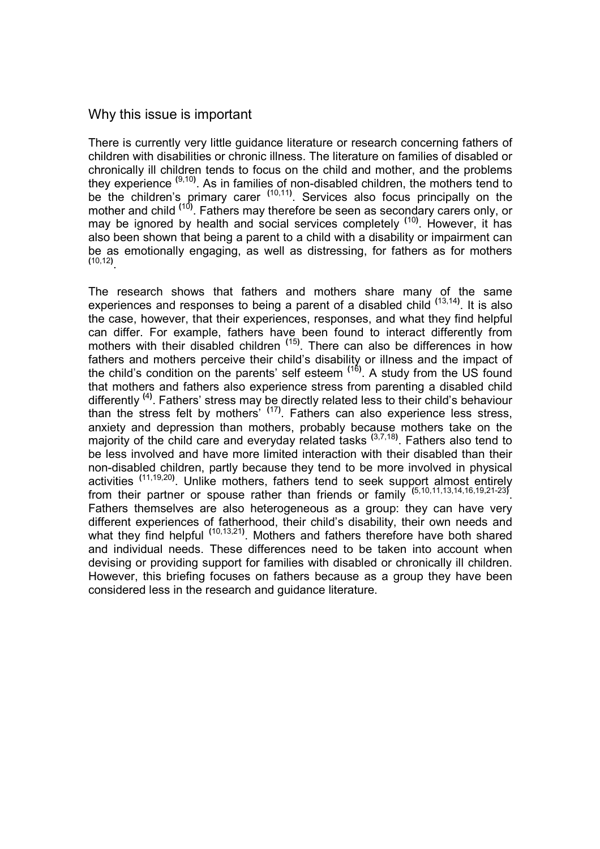## Why this issue is important

There is currently very little guidance literature or research concerning fathers of children with disabilities or chronic illness. The literature on families of disabled or chronically ill children tends to focus on the child and mother, and the problems they experience <sup>(9,10)</sup>. As in families of non-disabled children, the mothers tend to be the children's primary carer <sup>(10,11)</sup>. Services also focus principally on the mother and child <sup>(10)</sup>. Fathers may therefore be seen as secondary carers only, or may be ignored by health and social services completely <sup>(10)</sup>. However, it has also been shown that being a parent to a child with a disability or impairment can be as emotionally engaging, as well as distressing, for fathers as for mothers (10,12) .

The research shows that fathers and mothers share many of the same experiences and responses to being a parent of a disabled child <sup>(13,14)</sup>. It is also the case, however, that their experiences, responses, and what they find helpful can differ. For example, fathers have been found to interact differently from mothers with their disabled children <sup>(15)</sup>. There can also be differences in how fathers and mothers perceive their child's disability or illness and the impact of the child's condition on the parents' self esteem <sup>(16)</sup>. A study from the US found that mothers and fathers also experience stress from parenting a disabled child differently <sup>(4)</sup>. Fathers' stress may be directly related less to their child's behaviour than the stress felt by mothers<sup>' (17)</sup>. Fathers can also experience less stress, anxiety and depression than mothers, probably because mothers take on the majority of the child care and everyday related tasks <sup>(3,7,18)</sup>. Fathers also tend to be less involved and have more limited interaction with their disabled than their non-disabled children, partly because they tend to be more involved in physical activities <sup>(11,19,20)</sup>. Unlike mothers, fathers tend to seek support almost entirely from their partner or spouse rather than friends or family  $(5,10,11,13,14,16,19,21-23)$ . Fathers themselves are also heterogeneous as a group: they can have very different experiences of fatherhood, their child's disability, their own needs and what they find helpful <sup>(10,13,21)</sup>. Mothers and fathers therefore have both shared and individual needs. These differences need to be taken into account when devising or providing support for families with disabled or chronically ill children. However, this briefing focuses on fathers because as a group they have been considered less in the research and guidance literature.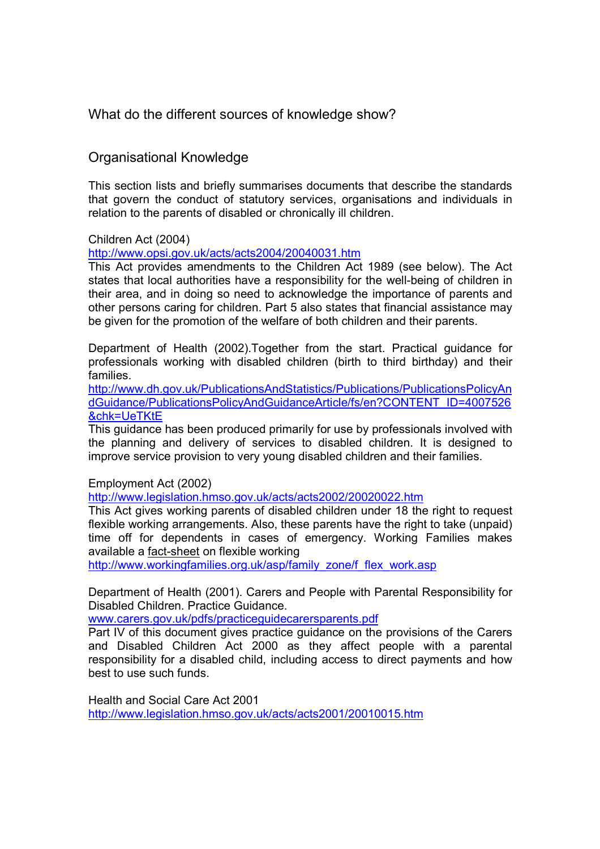What do the different sources of knowledge show?

## Organisational Knowledge

This section lists and briefly summarises documents that describe the standards that govern the conduct of statutory services, organisations and individuals in relation to the parents of disabled or chronically ill children.

### Children Act (2004)

http://www.opsi.gov.uk/acts/acts2004/20040031.htm

This Act provides amendments to the Children Act 1989 (see below). The Act states that local authorities have a responsibility for the well-being of children in their area, and in doing so need to acknowledge the importance of parents and other persons caring for children. Part 5 also states that financial assistance may be given for the promotion of the welfare of both children and their parents.

Department of Health (2002).Together from the start. Practical guidance for professionals working with disabled children (birth to third birthday) and their families.

http://www.dh.gov.uk/PublicationsAndStatistics/Publications/PublicationsPolicyAn dGuidance/PublicationsPolicyAndGuidanceArticle/fs/en?CONTENT\_ID=4007526 &chk=UeTKtE

This guidance has been produced primarily for use by professionals involved with the planning and delivery of services to disabled children. It is designed to improve service provision to very young disabled children and their families.

Employment Act (2002)

http://www.legislation.hmso.gov.uk/acts/acts2002/20020022.htm

This Act gives working parents of disabled children under 18 the right to request flexible working arrangements. Also, these parents have the right to take (unpaid) time off for dependents in cases of emergency. Working Families makes available a fact-sheet on flexible working

http://www.workingfamilies.org.uk/asp/family\_zone/f\_flex\_work.asp

Department of Health (2001). Carers and People with Parental Responsibility for Disabled Children. Practice Guidance.

www.carers.gov.uk/pdfs/practiceguidecarersparents.pdf

Part IV of this document gives practice guidance on the provisions of the Carers and Disabled Children Act 2000 as they affect people with a parental responsibility for a disabled child, including access to direct payments and how best to use such funds.

Health and Social Care Act 2001 http://www.legislation.hmso.gov.uk/acts/acts2001/20010015.htm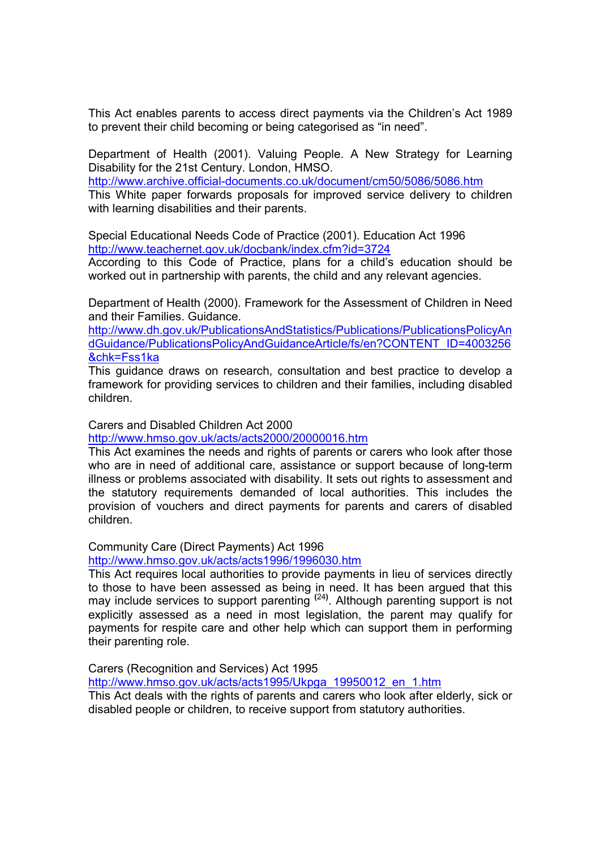This Act enables parents to access direct payments via the Children's Act 1989 to prevent their child becoming or being categorised as "in need".

Department of Health (2001). Valuing People. A New Strategy for Learning Disability for the 21st Century. London, HMSO.

http://www.archive.official-documents.co.uk/document/cm50/5086/5086.htm This White paper forwards proposals for improved service delivery to children with learning disabilities and their parents.

Special Educational Needs Code of Practice (2001). Education Act 1996 http://www.teachernet.gov.uk/docbank/index.cfm?id=3724

According to this Code of Practice, plans for a child's education should be worked out in partnership with parents, the child and any relevant agencies.

Department of Health (2000). Framework for the Assessment of Children in Need and their Families. Guidance.

http://www.dh.gov.uk/PublicationsAndStatistics/Publications/PublicationsPolicyAn dGuidance/PublicationsPolicyAndGuidanceArticle/fs/en?CONTENT\_ID=4003256 &chk=Fss1ka

This guidance draws on research, consultation and best practice to develop a framework for providing services to children and their families, including disabled children.

Carers and Disabled Children Act 2000

http://www.hmso.gov.uk/acts/acts2000/20000016.htm

This Act examines the needs and rights of parents or carers who look after those who are in need of additional care, assistance or support because of long-term illness or problems associated with disability. It sets out rights to assessment and the statutory requirements demanded of local authorities. This includes the provision of vouchers and direct payments for parents and carers of disabled children.

Community Care (Direct Payments) Act 1996

http://www.hmso.gov.uk/acts/acts1996/1996030.htm

This Act requires local authorities to provide payments in lieu of services directly to those to have been assessed as being in need. It has been argued that this may include services to support parenting <sup>(24)</sup>. Although parenting support is not explicitly assessed as a need in most legislation, the parent may qualify for payments for respite care and other help which can support them in performing their parenting role.

Carers (Recognition and Services) Act 1995 http://www.hmso.gov.uk/acts/acts1995/Ukpga\_19950012\_en\_1.htm This Act deals with the rights of parents and carers who look after elderly, sick or disabled people or children, to receive support from statutory authorities.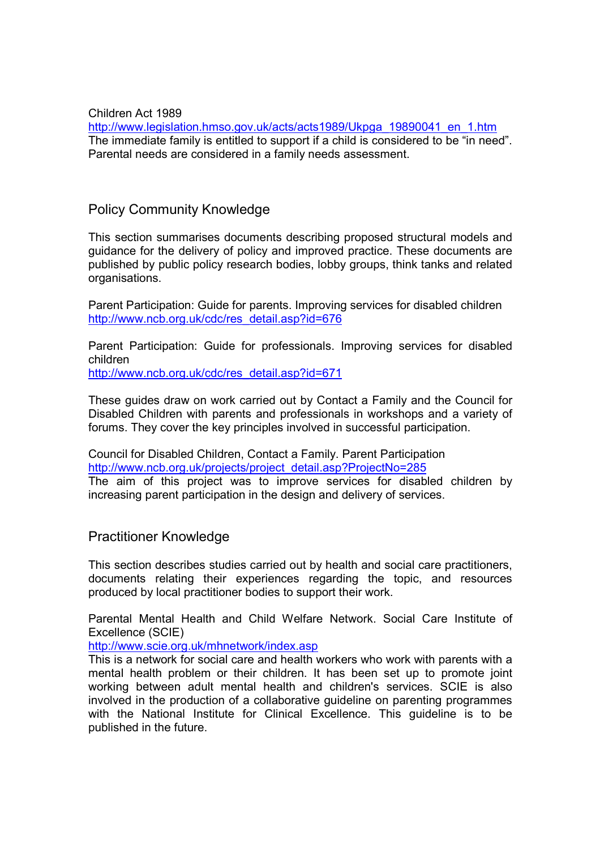Children Act 1989 http://www.legislation.hmso.gov.uk/acts/acts1989/Ukpga\_19890041\_en\_1.htm The immediate family is entitled to support if a child is considered to be "in need". Parental needs are considered in a family needs assessment.

### Policy Community Knowledge

This section summarises documents describing proposed structural models and guidance for the delivery of policy and improved practice. These documents are published by public policy research bodies, lobby groups, think tanks and related organisations.

Parent Participation: Guide for parents. Improving services for disabled children http://www.ncb.org.uk/cdc/res\_detail.asp?id=676

Parent Participation: Guide for professionals. Improving services for disabled children

http://www.ncb.org.uk/cdc/res\_detail.asp?id=671

These guides draw on work carried out by Contact a Family and the Council for Disabled Children with parents and professionals in workshops and a variety of forums. They cover the key principles involved in successful participation.

Council for Disabled Children, Contact a Family. Parent Participation http://www.ncb.org.uk/projects/project\_detail.asp?ProjectNo=285 The aim of this project was to improve services for disabled children by increasing parent participation in the design and delivery of services.

### Practitioner Knowledge

This section describes studies carried out by health and social care practitioners, documents relating their experiences regarding the topic, and resources produced by local practitioner bodies to support their work.

Parental Mental Health and Child Welfare Network. Social Care Institute of Excellence (SCIE)

http://www.scie.org.uk/mhnetwork/index.asp

This is a network for social care and health workers who work with parents with a mental health problem or their children. It has been set up to promote joint working between adult mental health and children's services. SCIE is also involved in the production of a collaborative guideline on parenting programmes with the National Institute for Clinical Excellence. This guideline is to be published in the future.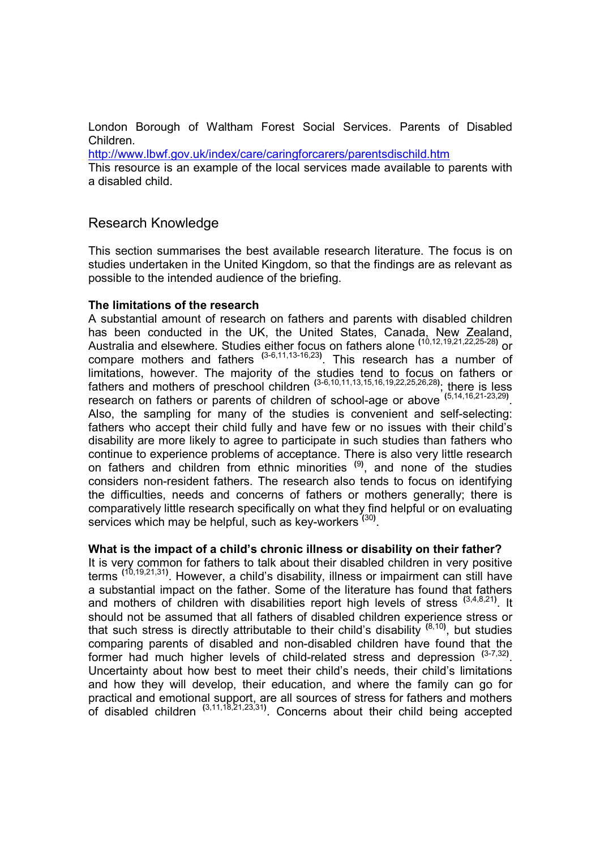London Borough of Waltham Forest Social Services. Parents of Disabled Children.

http://www.lbwf.gov.uk/index/care/caringforcarers/parentsdischild.htm

This resource is an example of the local services made available to parents with a disabled child.

## Research Knowledge

This section summarises the best available research literature. The focus is on studies undertaken in the United Kingdom, so that the findings are as relevant as possible to the intended audience of the briefing.

### The limitations of the research

A substantial amount of research on fathers and parents with disabled children has been conducted in the UK, the United States, Canada, New Zealand, Australia and elsewhere. Studies either focus on fathers alone <sup>(10,12,19,21,22,25-28)</sup> or compare mothers and fathers  $(3-6,11,13-16,23)$ . This research has a number of limitations, however. The majority of the studies tend to focus on fathers or fathers and mothers of preschool children  $(3-6,10,11,13,15,16,19,22,25,26,28)$ ; there is less research on fathers or parents of children of school-age or above (5,14,16,21-23,29). Also, the sampling for many of the studies is convenient and self-selecting: fathers who accept their child fully and have few or no issues with their child's disability are more likely to agree to participate in such studies than fathers who continue to experience problems of acceptance. There is also very little research on fathers and children from ethnic minorities <sup>(9)</sup>, and none of the studies considers non-resident fathers. The research also tends to focus on identifying the difficulties, needs and concerns of fathers or mothers generally; there is comparatively little research specifically on what they find helpful or on evaluating services which may be helpful, such as key-workers (30).

### What is the impact of a child's chronic illness or disability on their father?

It is very common for fathers to talk about their disabled children in very positive terms <sup>(10,19,21,31)</sup>. However, a child's disability, illness or impairment can still have a substantial impact on the father. Some of the literature has found that fathers and mothers of children with disabilities report high levels of stress  $(3,4,8,21)$ . It should not be assumed that all fathers of disabled children experience stress or that such stress is directly attributable to their child's disability <sup>(8,10)</sup>, but studies comparing parents of disabled and non-disabled children have found that the former had much higher levels of child-related stress and depression  $(3-7,32)$ . Uncertainty about how best to meet their child's needs, their child's limitations and how they will develop, their education, and where the family can go for practical and emotional support, are all sources of stress for fathers and mothers of disabled children  $(3,11,18,21,23,31)$ . Concerns about their child being accepted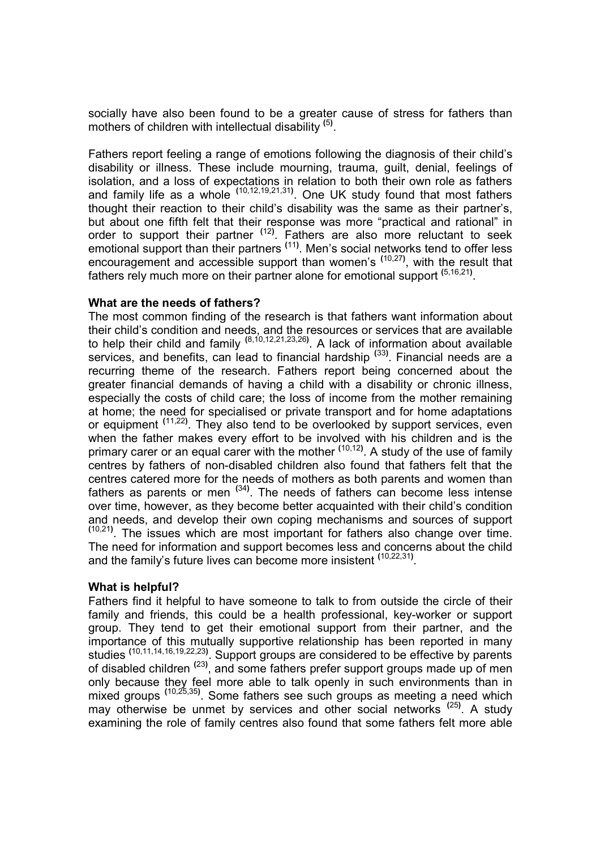socially have also been found to be a greater cause of stress for fathers than mothers of children with intellectual disability <sup>(5)</sup>.

Fathers report feeling a range of emotions following the diagnosis of their child's disability or illness. These include mourning, trauma, guilt, denial, feelings of isolation, and a loss of expectations in relation to both their own role as fathers and family life as a whole  $(10, 12, 19, 21, 31)$ . One UK study found that most fathers thought their reaction to their child's disability was the same as their partner's, but about one fifth felt that their response was more "practical and rational" in order to support their partner  $(12)$ . Fathers are also more reluctant to seek emotional support than their partners <sup>(11)</sup>. Men's social networks tend to offer less encouragement and accessible support than women's <sup>(10,27)</sup>, with the result that fathers rely much more on their partner alone for emotional support <sup>(5,16,21)</sup>.

### What are the needs of fathers?

The most common finding of the research is that fathers want information about their child's condition and needs, and the resources or services that are available to help their child and family  $(8,10,12,21,23,26)$ . A lack of information about available services, and benefits, can lead to financial hardship <sup>(33)</sup>. Financial needs are a recurring theme of the research. Fathers report being concerned about the greater financial demands of having a child with a disability or chronic illness, especially the costs of child care; the loss of income from the mother remaining at home; the need for specialised or private transport and for home adaptations or equipment <sup>(11,22)</sup>. They also tend to be overlooked by support services, even when the father makes every effort to be involved with his children and is the primary carer or an equal carer with the mother <sup>(10,12)</sup>. A study of the use of family centres by fathers of non-disabled children also found that fathers felt that the centres catered more for the needs of mothers as both parents and women than fathers as parents or men  $(34)$ . The needs of fathers can become less intense over time, however, as they become better acquainted with their child's condition and needs, and develop their own coping mechanisms and sources of support  $(10,21)$ . The issues which are most important for fathers also change over time. The need for information and support becomes less and concerns about the child and the family's future lives can become more insistent <sup>(10,22,31)</sup>.

### What is helpful?

Fathers find it helpful to have someone to talk to from outside the circle of their family and friends, this could be a health professional, key-worker or support group. They tend to get their emotional support from their partner, and the importance of this mutually supportive relationship has been reported in many studies <sup>(10,11,14,16,19,22,23)</sup>. Support groups are considered to be effective by parents of disabled children <sup>(23)</sup>, and some fathers prefer support groups made up of men only because they feel more able to talk openly in such environments than in mixed groups <sup>(10,25,35)</sup>. Some fathers see such groups as meeting a need which may otherwise be unmet by services and other social networks <sup>(25)</sup>. A study examining the role of family centres also found that some fathers felt more able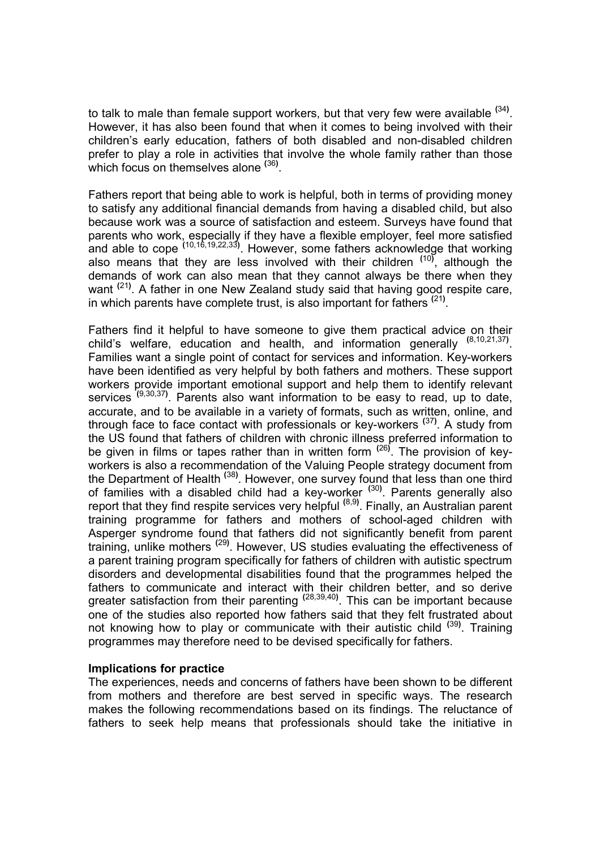to talk to male than female support workers, but that very few were available  $^{(34)}$ . However, it has also been found that when it comes to being involved with their children's early education, fathers of both disabled and non-disabled children prefer to play a role in activities that involve the whole family rather than those which focus on themselves alone <sup>(36)</sup>.

Fathers report that being able to work is helpful, both in terms of providing money to satisfy any additional financial demands from having a disabled child, but also because work was a source of satisfaction and esteem. Surveys have found that parents who work, especially if they have a flexible employer, feel more satisfied and able to cope  $(10,16,19,22,33)$ . However, some fathers acknowledge that working also means that they are less involved with their children <sup>(10)</sup>, although the demands of work can also mean that they cannot always be there when they want <sup>(21)</sup>. A father in one New Zealand study said that having good respite care, in which parents have complete trust, is also important for fathers  $(21)$ .

Fathers find it helpful to have someone to give them practical advice on their child's welfare, education and health, and information generally (8,10,21,37). Families want a single point of contact for services and information. Key-workers have been identified as very helpful by both fathers and mothers. These support workers provide important emotional support and help them to identify relevant services <sup>(9,30,37)</sup>. Parents also want information to be easy to read, up to date, accurate, and to be available in a variety of formats, such as written, online, and through face to face contact with professionals or key-workers <sup>(37)</sup>. A study from the US found that fathers of children with chronic illness preferred information to be given in films or tapes rather than in written form <sup>(26)</sup>. The provision of keyworkers is also a recommendation of the Valuing People strategy document from the Department of Health<sup> (38)</sup>. However, one survey found that less than one third of families with a disabled child had a key-worker <sup>(30)</sup>. Parents generally also report that they find respite services very helpful <sup>(8,9)</sup>. Finally, an Australian parent training programme for fathers and mothers of school-aged children with Asperger syndrome found that fathers did not significantly benefit from parent training, unlike mothers<sup> (29)</sup>. However, US studies evaluating the effectiveness of a parent training program specifically for fathers of children with autistic spectrum disorders and developmental disabilities found that the programmes helped the fathers to communicate and interact with their children better, and so derive greater satisfaction from their parenting <sup>(28,39,40)</sup>. This can be important because one of the studies also reported how fathers said that they felt frustrated about not knowing how to play or communicate with their autistic child <sup>(39)</sup>. Training programmes may therefore need to be devised specifically for fathers.

### Implications for practice

The experiences, needs and concerns of fathers have been shown to be different from mothers and therefore are best served in specific ways. The research makes the following recommendations based on its findings. The reluctance of fathers to seek help means that professionals should take the initiative in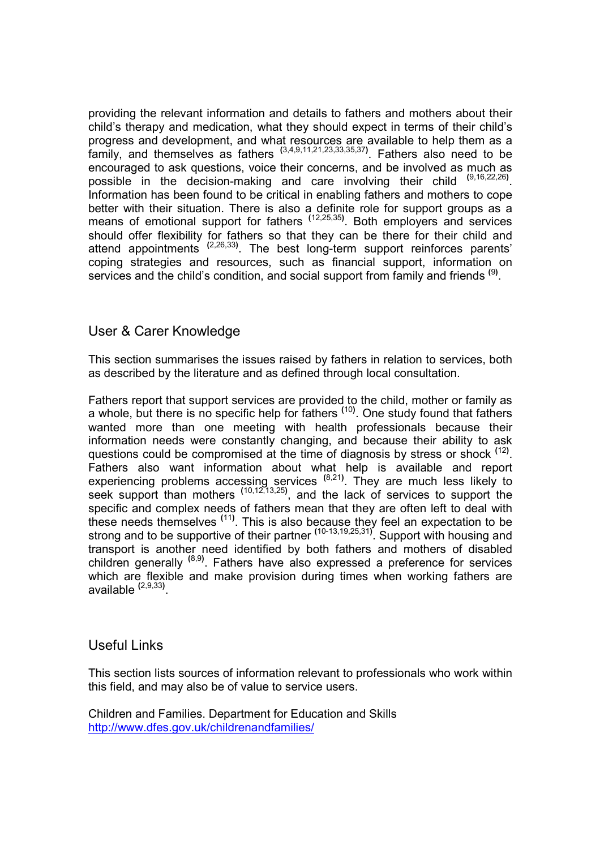providing the relevant information and details to fathers and mothers about their child's therapy and medication, what they should expect in terms of their child's progress and development, and what resources are available to help them as a family, and themselves as fathers  $(3,4,9,11,21,23,33,35,37)$ . Fathers also need to be encouraged to ask questions, voice their concerns, and be involved as much as possible in the decision-making and care involving their child <sup>(9,16,22,26)</sup>. Information has been found to be critical in enabling fathers and mothers to cope better with their situation. There is also a definite role for support groups as a means of emotional support for fathers <sup>(12,25,35)</sup>. Both employers and services should offer flexibility for fathers so that they can be there for their child and attend appointments <sup>(2,26,33)</sup>. The best long-term support reinforces parents' coping strategies and resources, such as financial support, information on services and the child's condition, and social support from family and friends <sup>(9)</sup>.

## User & Carer Knowledge

This section summarises the issues raised by fathers in relation to services, both as described by the literature and as defined through local consultation.

Fathers report that support services are provided to the child, mother or family as a whole, but there is no specific help for fathers <sup>(10)</sup>. One study found that fathers wanted more than one meeting with health professionals because their information needs were constantly changing, and because their ability to ask questions could be compromised at the time of diagnosis by stress or shock <sup>(12)</sup>. Fathers also want information about what help is available and report experiencing problems accessing services  $(8,21)$ . They are much less likely to seek support than mothers  $(10, 12, 13, 25)$ , and the lack of services to support the specific and complex needs of fathers mean that they are often left to deal with these needs themselves <sup>(11)</sup>. This is also because they feel an expectation to be strong and to be supportive of their partner <sup>(10-13,19,25,31)</sup>. Support with housing and transport is another need identified by both fathers and mothers of disabled children generally <sup>(8,9)</sup>. Fathers have also expressed a preference for services which are flexible and make provision during times when working fathers are available <sup>(2,9,33)</sup>.

## Useful Links

This section lists sources of information relevant to professionals who work within this field, and may also be of value to service users.

Children and Families. Department for Education and Skills http://www.dfes.gov.uk/childrenandfamilies/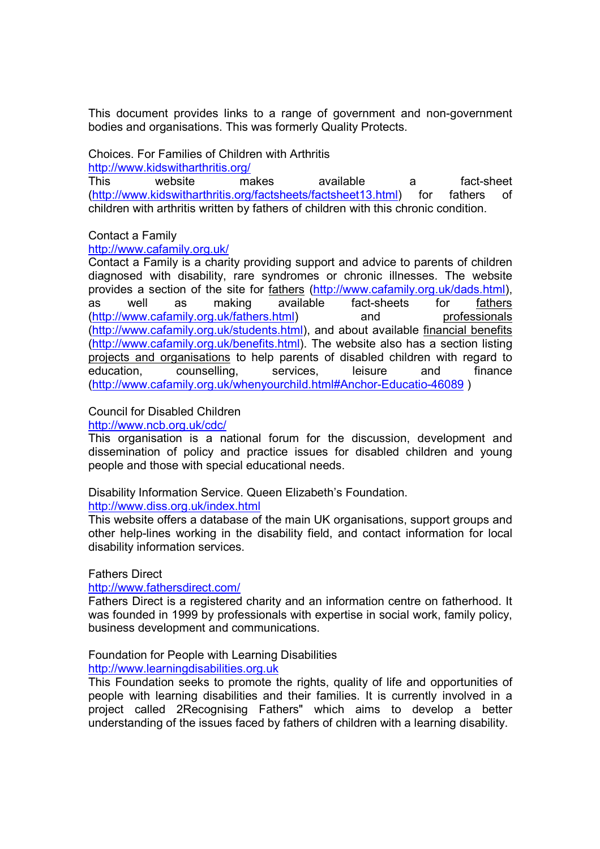This document provides links to a range of government and non-government bodies and organisations. This was formerly Quality Protects.

Choices. For Families of Children with Arthritis

http://www.kidswitharthritis.org/

This website makes available a fact-sheet (http://www.kidswitharthritis.org/factsheets/factsheet13.html) for fathers of children with arthritis written by fathers of children with this chronic condition.

### Contact a Family

http://www.cafamily.org.uk/

Contact a Family is a charity providing support and advice to parents of children diagnosed with disability, rare syndromes or chronic illnesses. The website provides a section of the site for fathers (http://www.cafamily.org.uk/dads.html), as well as making available fact-sheets for fathers (http://www.cafamily.org.uk/fathers.html) and professionals (http://www.cafamily.org.uk/students.html), and about available financial benefits (http://www.cafamily.org.uk/benefits.html). The website also has a section listing projects and organisations to help parents of disabled children with regard to education, counselling, services, leisure and finance (http://www.cafamily.org.uk/whenyourchild.html#Anchor-Educatio-46089 )

### Council for Disabled Children

### http://www.ncb.org.uk/cdc/

This organisation is a national forum for the discussion, development and dissemination of policy and practice issues for disabled children and young people and those with special educational needs.

Disability Information Service. Queen Elizabeth's Foundation. http://www.diss.org.uk/index.html

This website offers a database of the main UK organisations, support groups and other help-lines working in the disability field, and contact information for local disability information services.

Fathers Direct

http://www.fathersdirect.com/

Fathers Direct is a registered charity and an information centre on fatherhood. It was founded in 1999 by professionals with expertise in social work, family policy, business development and communications.

Foundation for People with Learning Disabilities

http://www.learningdisabilities.org.uk

This Foundation seeks to promote the rights, quality of life and opportunities of people with learning disabilities and their families. It is currently involved in a project called 2Recognising Fathers" which aims to develop a better understanding of the issues faced by fathers of children with a learning disability.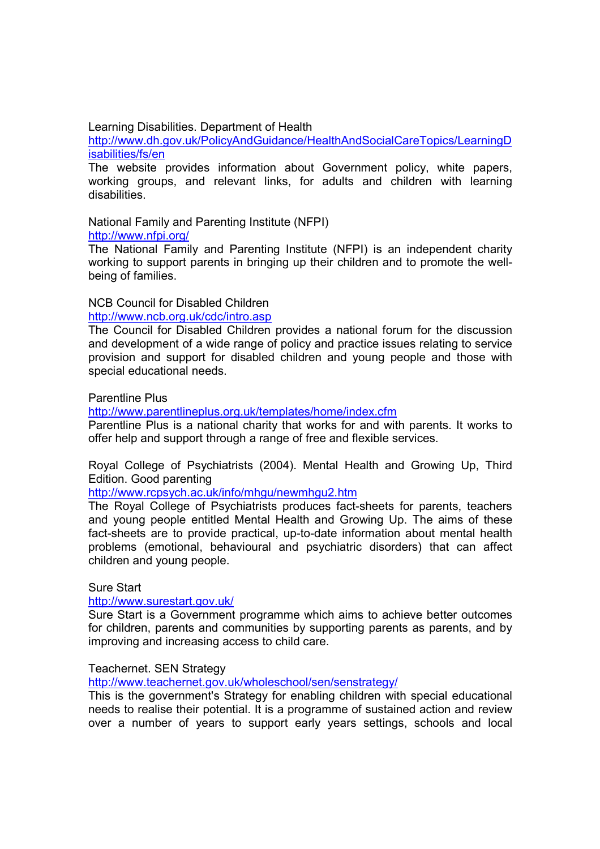Learning Disabilities. Department of Health

http://www.dh.gov.uk/PolicyAndGuidance/HealthAndSocialCareTopics/LearningD isabilities/fs/en

The website provides information about Government policy, white papers, working groups, and relevant links, for adults and children with learning disabilities.

National Family and Parenting Institute (NFPI)

http://www.nfpi.org/

The National Family and Parenting Institute (NFPI) is an independent charity working to support parents in bringing up their children and to promote the wellbeing of families.

## NCB Council for Disabled Children

http://www.ncb.org.uk/cdc/intro.asp

The Council for Disabled Children provides a national forum for the discussion and development of a wide range of policy and practice issues relating to service provision and support for disabled children and young people and those with special educational needs.

### Parentline Plus

http://www.parentlineplus.org.uk/templates/home/index.cfm

Parentline Plus is a national charity that works for and with parents. It works to offer help and support through a range of free and flexible services.

Royal College of Psychiatrists (2004). Mental Health and Growing Up, Third Edition. Good parenting

http://www.rcpsych.ac.uk/info/mhgu/newmhgu2.htm

The Royal College of Psychiatrists produces fact-sheets for parents, teachers and young people entitled Mental Health and Growing Up. The aims of these fact-sheets are to provide practical, up-to-date information about mental health problems (emotional, behavioural and psychiatric disorders) that can affect children and young people.

### Sure Start

### http://www.surestart.gov.uk/

Sure Start is a Government programme which aims to achieve better outcomes for children, parents and communities by supporting parents as parents, and by improving and increasing access to child care.

### Teachernet. SEN Strategy

http://www.teachernet.gov.uk/wholeschool/sen/senstrategy/

This is the government's Strategy for enabling children with special educational needs to realise their potential. It is a programme of sustained action and review over a number of years to support early years settings, schools and local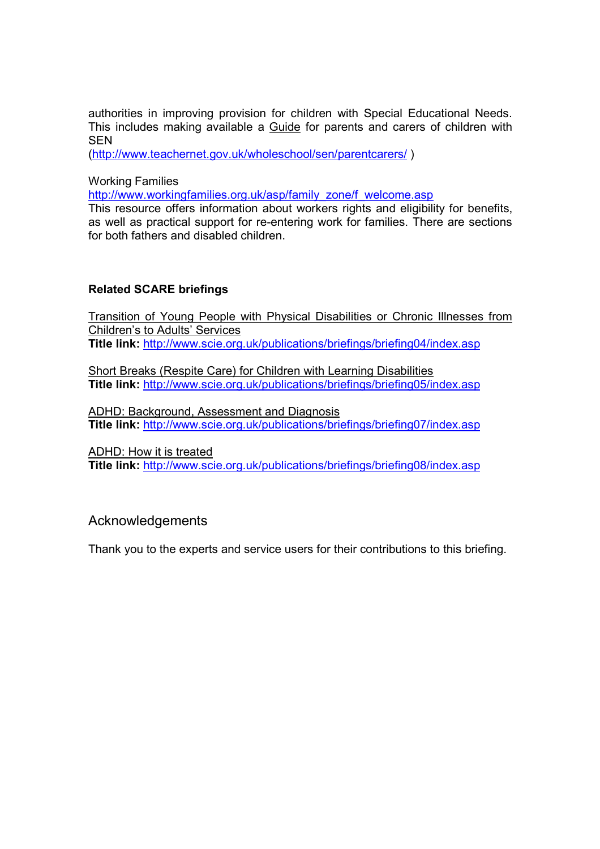authorities in improving provision for children with Special Educational Needs. This includes making available a Guide for parents and carers of children with **SEN** 

(http://www.teachernet.gov.uk/wholeschool/sen/parentcarers/ )

Working Families

http://www.workingfamilies.org.uk/asp/family\_zone/f\_welcome.asp

This resource offers information about workers rights and eligibility for benefits, as well as practical support for re-entering work for families. There are sections for both fathers and disabled children.

### Related SCARE briefings

Transition of Young People with Physical Disabilities or Chronic Illnesses from Children's to Adults' Services Title link: http://www.scie.org.uk/publications/briefings/briefing04/index.asp

Short Breaks (Respite Care) for Children with Learning Disabilities Title link: http://www.scie.org.uk/publications/briefings/briefing05/index.asp

ADHD: Background, Assessment and Diagnosis Title link: http://www.scie.org.uk/publications/briefings/briefing07/index.asp

ADHD: How it is treated

Title link: http://www.scie.org.uk/publications/briefings/briefing08/index.asp

## Acknowledgements

Thank you to the experts and service users for their contributions to this briefing.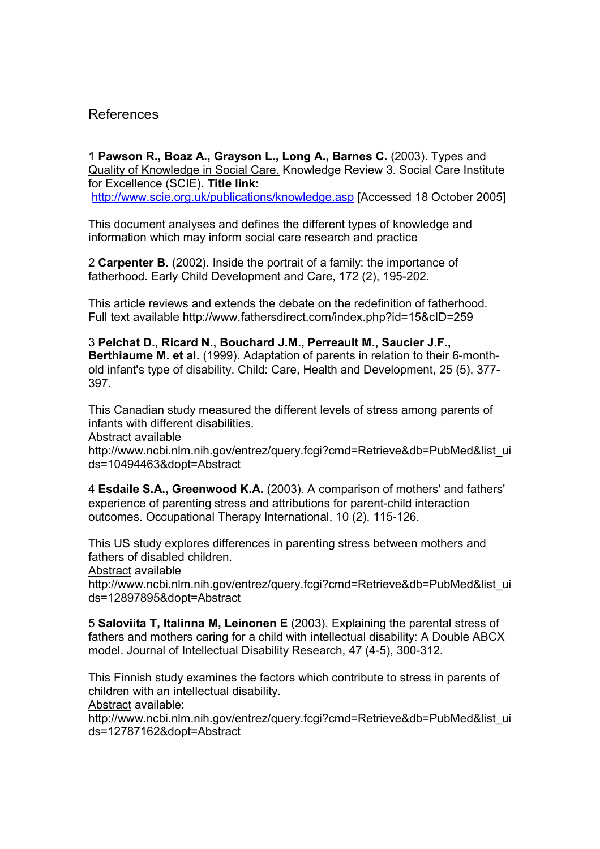## References

1 Pawson R., Boaz A., Grayson L., Long A., Barnes C. (2003). Types and Quality of Knowledge in Social Care. Knowledge Review 3. Social Care Institute for Excellence (SCIE). Title link: http://www.scie.org.uk/publications/knowledge.asp [Accessed 18 October 2005]

This document analyses and defines the different types of knowledge and information which may inform social care research and practice

2 Carpenter B. (2002). Inside the portrait of a family: the importance of fatherhood. Early Child Development and Care, 172 (2), 195-202.

This article reviews and extends the debate on the redefinition of fatherhood. Full text available http://www.fathersdirect.com/index.php?id=15&cID=259

3 Pelchat D., Ricard N., Bouchard J.M., Perreault M., Saucier J.F., Berthiaume M. et al. (1999). Adaptation of parents in relation to their 6-monthold infant's type of disability. Child: Care, Health and Development, 25 (5), 377- 397.

This Canadian study measured the different levels of stress among parents of infants with different disabilities.

Abstract available

http://www.ncbi.nlm.nih.gov/entrez/query.fcgi?cmd=Retrieve&db=PubMed&list\_ui ds=10494463&dopt=Abstract

4 Esdaile S.A., Greenwood K.A. (2003). A comparison of mothers' and fathers' experience of parenting stress and attributions for parent-child interaction outcomes. Occupational Therapy International, 10 (2), 115-126.

This US study explores differences in parenting stress between mothers and fathers of disabled children.

Abstract available

http://www.ncbi.nlm.nih.gov/entrez/query.fcgi?cmd=Retrieve&db=PubMed&list\_ui ds=12897895&dopt=Abstract

5 Saloviita T, Italinna M, Leinonen E (2003). Explaining the parental stress of fathers and mothers caring for a child with intellectual disability: A Double ABCX model. Journal of Intellectual Disability Research, 47 (4-5), 300-312.

This Finnish study examines the factors which contribute to stress in parents of children with an intellectual disability.

Abstract available:

http://www.ncbi.nlm.nih.gov/entrez/query.fcgi?cmd=Retrieve&db=PubMed&list\_ui ds=12787162&dopt=Abstract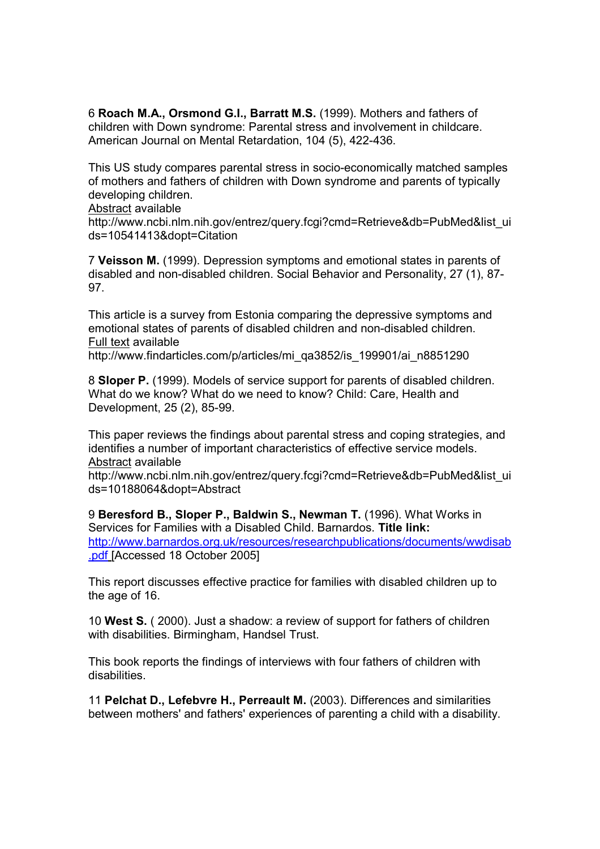6 Roach M.A., Orsmond G.I., Barratt M.S. (1999). Mothers and fathers of children with Down syndrome: Parental stress and involvement in childcare. American Journal on Mental Retardation, 104 (5), 422-436.

This US study compares parental stress in socio-economically matched samples of mothers and fathers of children with Down syndrome and parents of typically developing children.

Abstract available

http://www.ncbi.nlm.nih.gov/entrez/query.fcgi?cmd=Retrieve&db=PubMed&list\_ui ds=10541413&dopt=Citation

7 Veisson M. (1999). Depression symptoms and emotional states in parents of disabled and non-disabled children. Social Behavior and Personality, 27 (1), 87- 97.

This article is a survey from Estonia comparing the depressive symptoms and emotional states of parents of disabled children and non-disabled children. Full text available

http://www.findarticles.com/p/articles/mi\_qa3852/is\_199901/ai\_n8851290

8 Sloper P. (1999). Models of service support for parents of disabled children. What do we know? What do we need to know? Child: Care, Health and Development, 25 (2), 85-99.

This paper reviews the findings about parental stress and coping strategies, and identifies a number of important characteristics of effective service models. Abstract available

http://www.ncbi.nlm.nih.gov/entrez/query.fcgi?cmd=Retrieve&db=PubMed&list\_ui ds=10188064&dopt=Abstract

9 Beresford B., Sloper P., Baldwin S., Newman T. (1996). What Works in Services for Families with a Disabled Child. Barnardos. Title link: http://www.barnardos.org.uk/resources/researchpublications/documents/wwdisab .pdf [Accessed 18 October 2005]

This report discusses effective practice for families with disabled children up to the age of 16.

10 West S. ( 2000). Just a shadow: a review of support for fathers of children with disabilities. Birmingham, Handsel Trust.

This book reports the findings of interviews with four fathers of children with disabilities.

11 Pelchat D., Lefebvre H., Perreault M. (2003). Differences and similarities between mothers' and fathers' experiences of parenting a child with a disability.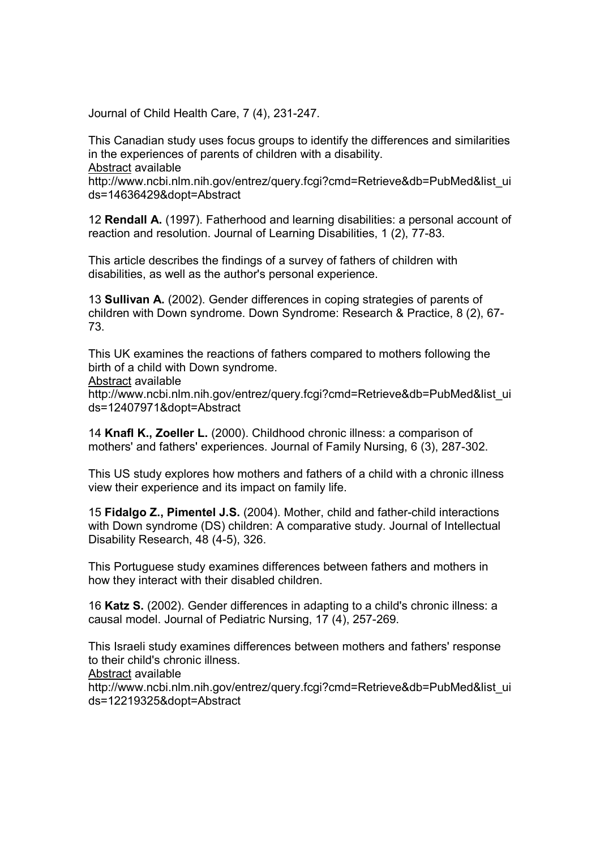Journal of Child Health Care, 7 (4), 231-247.

This Canadian study uses focus groups to identify the differences and similarities in the experiences of parents of children with a disability.

Abstract available

http://www.ncbi.nlm.nih.gov/entrez/query.fcgi?cmd=Retrieve&db=PubMed&list\_ui ds=14636429&dopt=Abstract

12 Rendall A. (1997). Fatherhood and learning disabilities: a personal account of reaction and resolution. Journal of Learning Disabilities, 1 (2), 77-83.

This article describes the findings of a survey of fathers of children with disabilities, as well as the author's personal experience.

13 Sullivan A. (2002). Gender differences in coping strategies of parents of children with Down syndrome. Down Syndrome: Research & Practice, 8 (2), 67- 73.

This UK examines the reactions of fathers compared to mothers following the birth of a child with Down syndrome. Abstract available http://www.ncbi.nlm.nih.gov/entrez/query.fcgi?cmd=Retrieve&db=PubMed&list\_ui ds=12407971&dopt=Abstract

14 Knafl K., Zoeller L. (2000). Childhood chronic illness: a comparison of mothers' and fathers' experiences. Journal of Family Nursing, 6 (3), 287-302.

This US study explores how mothers and fathers of a child with a chronic illness view their experience and its impact on family life.

15 Fidalgo Z., Pimentel J.S. (2004). Mother, child and father-child interactions with Down syndrome (DS) children: A comparative study. Journal of Intellectual Disability Research, 48 (4-5), 326.

This Portuguese study examines differences between fathers and mothers in how they interact with their disabled children.

16 Katz S. (2002). Gender differences in adapting to a child's chronic illness: a causal model. Journal of Pediatric Nursing, 17 (4), 257-269.

This Israeli study examines differences between mothers and fathers' response to their child's chronic illness.

Abstract available

http://www.ncbi.nlm.nih.gov/entrez/query.fcgi?cmd=Retrieve&db=PubMed&list\_ui ds=12219325&dopt=Abstract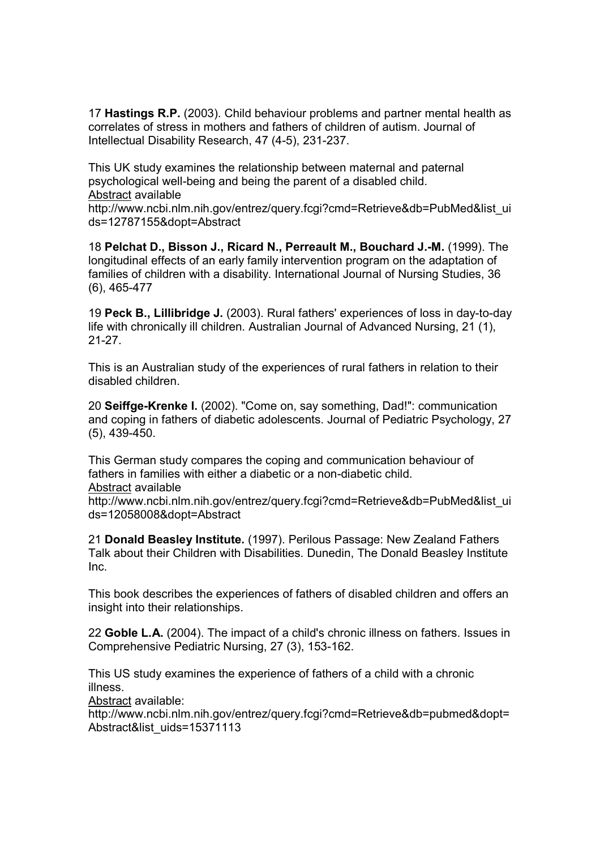17 Hastings R.P. (2003). Child behaviour problems and partner mental health as correlates of stress in mothers and fathers of children of autism. Journal of Intellectual Disability Research, 47 (4-5), 231-237.

This UK study examines the relationship between maternal and paternal psychological well-being and being the parent of a disabled child. Abstract available

http://www.ncbi.nlm.nih.gov/entrez/query.fcgi?cmd=Retrieve&db=PubMed&list\_ui ds=12787155&dopt=Abstract

18 Pelchat D., Bisson J., Ricard N., Perreault M., Bouchard J.-M. (1999). The longitudinal effects of an early family intervention program on the adaptation of families of children with a disability. International Journal of Nursing Studies, 36 (6), 465-477

19 Peck B., Lillibridge J. (2003). Rural fathers' experiences of loss in day-to-day life with chronically ill children. Australian Journal of Advanced Nursing, 21 (1), 21-27.

This is an Australian study of the experiences of rural fathers in relation to their disabled children.

20 Seiffge-Krenke I. (2002). "Come on, say something, Dad!": communication and coping in fathers of diabetic adolescents. Journal of Pediatric Psychology, 27 (5), 439-450.

This German study compares the coping and communication behaviour of fathers in families with either a diabetic or a non-diabetic child. Abstract available

http://www.ncbi.nlm.nih.gov/entrez/query.fcgi?cmd=Retrieve&db=PubMed&list\_ui ds=12058008&dopt=Abstract

21 Donald Beasley Institute. (1997). Perilous Passage: New Zealand Fathers Talk about their Children with Disabilities. Dunedin, The Donald Beasley Institute Inc.

This book describes the experiences of fathers of disabled children and offers an insight into their relationships.

22 Goble L.A. (2004). The impact of a child's chronic illness on fathers. Issues in Comprehensive Pediatric Nursing, 27 (3), 153-162.

This US study examines the experience of fathers of a child with a chronic illness.

Abstract available:

http://www.ncbi.nlm.nih.gov/entrez/query.fcgi?cmd=Retrieve&db=pubmed&dopt= Abstract&list\_uids=15371113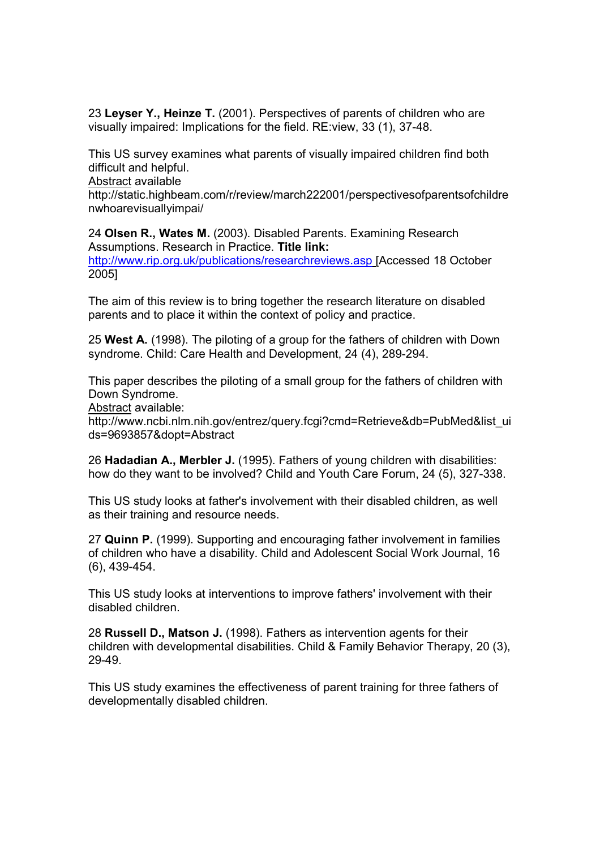23 Leyser Y., Heinze T. (2001). Perspectives of parents of children who are visually impaired: Implications for the field. RE:view, 33 (1), 37-48.

This US survey examines what parents of visually impaired children find both difficult and helpful.

Abstract available

http://static.highbeam.com/r/review/march222001/perspectivesofparentsofchildre nwhoarevisuallyimpai/

24 Olsen R., Wates M. (2003). Disabled Parents. Examining Research Assumptions. Research in Practice. Title link: http://www.rip.org.uk/publications/researchreviews.asp [Accessed 18 October 2005]

The aim of this review is to bring together the research literature on disabled parents and to place it within the context of policy and practice.

25 West A. (1998). The piloting of a group for the fathers of children with Down syndrome. Child: Care Health and Development, 24 (4), 289-294.

This paper describes the piloting of a small group for the fathers of children with Down Syndrome.

Abstract available:

http://www.ncbi.nlm.nih.gov/entrez/query.fcgi?cmd=Retrieve&db=PubMed&list\_ui ds=9693857&dopt=Abstract

26 Hadadian A., Merbler J. (1995). Fathers of young children with disabilities: how do they want to be involved? Child and Youth Care Forum, 24 (5), 327-338.

This US study looks at father's involvement with their disabled children, as well as their training and resource needs.

27 Quinn P. (1999). Supporting and encouraging father involvement in families of children who have a disability. Child and Adolescent Social Work Journal, 16 (6), 439-454.

This US study looks at interventions to improve fathers' involvement with their disabled children.

28 Russell D., Matson J. (1998). Fathers as intervention agents for their children with developmental disabilities. Child & Family Behavior Therapy, 20 (3), 29-49.

This US study examines the effectiveness of parent training for three fathers of developmentally disabled children.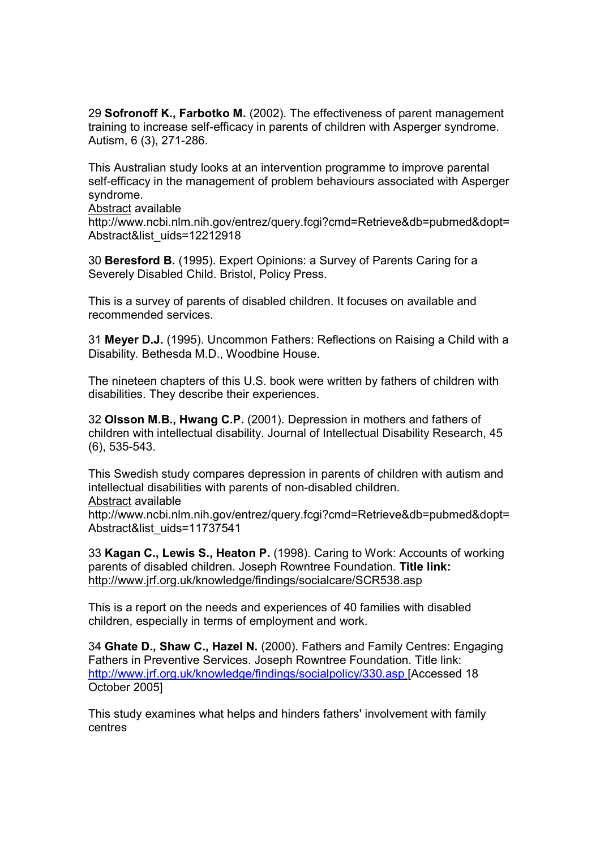29 Sofronoff K., Farbotko M. (2002). The effectiveness of parent management training to increase self-efficacy in parents of children with Asperger syndrome. Autism, 6 (3), 271-286.

This Australian study looks at an intervention programme to improve parental self-efficacy in the management of problem behaviours associated with Asperger syndrome.

Abstract available

http://www.ncbi.nlm.nih.gov/entrez/query.fcgi?cmd=Retrieve&db=pubmed&dopt= Abstract&list\_uids=12212918

30 Beresford B. (1995). Expert Opinions: a Survey of Parents Caring for a Severely Disabled Child. Bristol, Policy Press.

This is a survey of parents of disabled children. It focuses on available and recommended services.

31 Meyer D.J. (1995). Uncommon Fathers: Reflections on Raising a Child with a Disability. Bethesda M.D., Woodbine House.

The nineteen chapters of this U.S. book were written by fathers of children with disabilities. They describe their experiences.

32 Olsson M.B., Hwang C.P. (2001). Depression in mothers and fathers of children with intellectual disability. Journal of Intellectual Disability Research, 45 (6), 535-543.

This Swedish study compares depression in parents of children with autism and intellectual disabilities with parents of non-disabled children.

Abstract available

http://www.ncbi.nlm.nih.gov/entrez/query.fcgi?cmd=Retrieve&db=pubmed&dopt= Abstract&list\_uids=11737541

33 Kagan C., Lewis S., Heaton P. (1998). Caring to Work: Accounts of working parents of disabled children. Joseph Rowntree Foundation. Title link: http://www.jrf.org.uk/knowledge/findings/socialcare/SCR538.asp

This is a report on the needs and experiences of 40 families with disabled children, especially in terms of employment and work.

34 Ghate D., Shaw C., Hazel N. (2000). Fathers and Family Centres: Engaging Fathers in Preventive Services. Joseph Rowntree Foundation. Title link: http://www.jrf.org.uk/knowledge/findings/socialpolicy/330.asp [Accessed 18 October 2005]

This study examines what helps and hinders fathers' involvement with family centres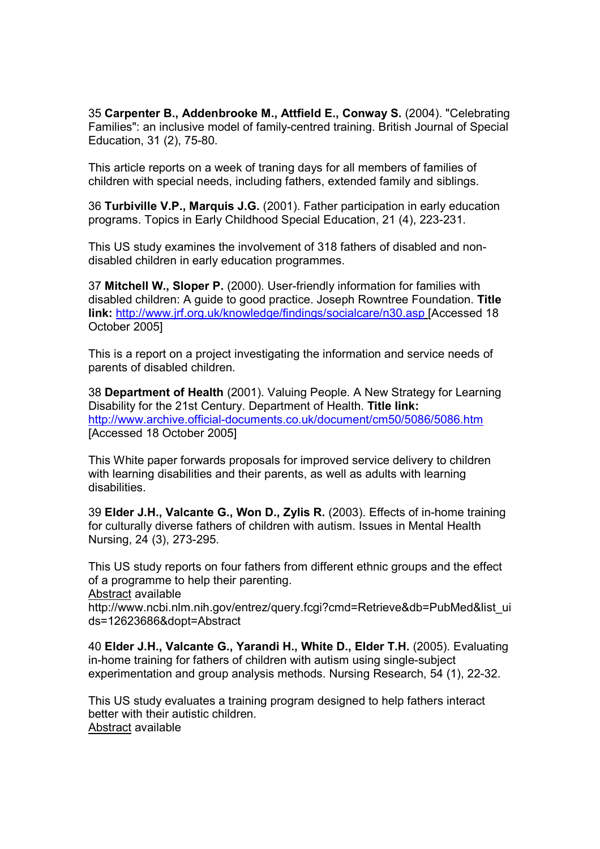35 Carpenter B., Addenbrooke M., Attfield E., Conway S. (2004). "Celebrating Families": an inclusive model of family-centred training. British Journal of Special Education, 31 (2), 75-80.

This article reports on a week of traning days for all members of families of children with special needs, including fathers, extended family and siblings.

36 Turbiville V.P., Marquis J.G. (2001). Father participation in early education programs. Topics in Early Childhood Special Education, 21 (4), 223-231.

This US study examines the involvement of 318 fathers of disabled and nondisabled children in early education programmes.

37 Mitchell W., Sloper P. (2000). User-friendly information for families with disabled children: A guide to good practice. Joseph Rowntree Foundation. Title link: http://www.jrf.org.uk/knowledge/findings/socialcare/n30.asp [Accessed 18 October 2005]

This is a report on a project investigating the information and service needs of parents of disabled children.

38 Department of Health (2001). Valuing People. A New Strategy for Learning Disability for the 21st Century. Department of Health. Title link: http://www.archive.official-documents.co.uk/document/cm50/5086/5086.htm [Accessed 18 October 2005]

This White paper forwards proposals for improved service delivery to children with learning disabilities and their parents, as well as adults with learning disabilities.

39 Elder J.H., Valcante G., Won D., Zylis R. (2003). Effects of in-home training for culturally diverse fathers of children with autism. Issues in Mental Health Nursing, 24 (3), 273-295.

This US study reports on four fathers from different ethnic groups and the effect of a programme to help their parenting. Abstract available

http://www.ncbi.nlm.nih.gov/entrez/query.fcgi?cmd=Retrieve&db=PubMed&list\_ui ds=12623686&dopt=Abstract

40 Elder J.H., Valcante G., Yarandi H., White D., Elder T.H. (2005). Evaluating in-home training for fathers of children with autism using single-subject experimentation and group analysis methods. Nursing Research, 54 (1), 22-32.

This US study evaluates a training program designed to help fathers interact better with their autistic children. Abstract available